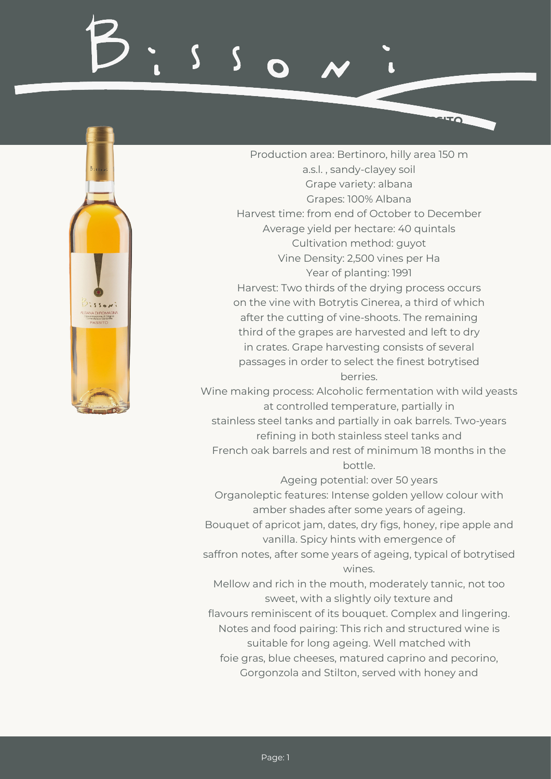

Production area: Bertinoro, hilly area 150 m a.s.l. , sandy-clayey soil Grape variety: albana Grapes: 100% Albana Harvest time: from end of October to December Average yield per hectare: 40 quintals Cultivation method: guyot Vine Density: 2,500 vines per Ha Year of planting: 1991 Harvest: Two thirds of the drying process occurs on the vine with Botrytis Cinerea, a third of which after the cutting of vine-shoots. The remaining third of the grapes are harvested and left to dry in crates. Grape harvesting consists of several passages in order to select the finest botrytised berries.

**ROMAGNA DOCG ALBANA PASSITO**

Wine making process: Alcoholic fermentation with wild yeasts at controlled temperature, partially in stainless steel tanks and partially in oak barrels. Two-years refining in both stainless steel tanks and French oak barrels and rest of minimum 18 months in the bottle.

Ageing potential: over 50 years Organoleptic features: Intense golden yellow colour with amber shades after some years of ageing.

Bouquet of apricot jam, dates, dry figs, honey, ripe apple and vanilla. Spicy hints with emergence of

saffron notes, after some years of ageing, typical of botrytised wines.

Mellow and rich in the mouth, moderately tannic, not too sweet, with a slightly oily texture and

flavours reminiscent of its bouquet. Complex and lingering. Notes and food pairing: This rich and structured wine is suitable for long ageing. Well matched with

foie gras, blue cheeses, matured caprino and pecorino, Gorgonzola and Stilton, served with honey and